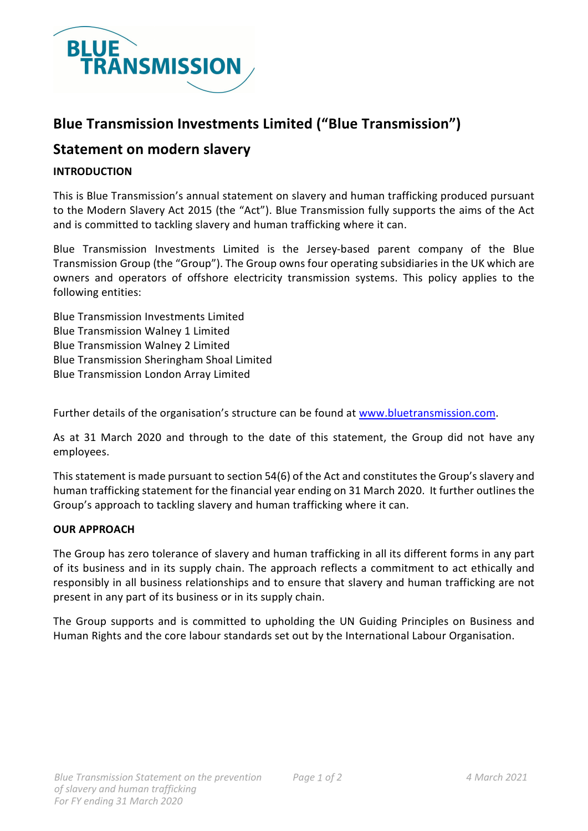

## **Blue Transmission Investments Limited ("Blue Transmission")**

### **Statement on modern slavery**

#### **INTRODUCTION**

This is Blue Transmission's annual statement on slavery and human trafficking produced pursuant to the Modern Slavery Act 2015 (the "Act"). Blue Transmission fully supports the aims of the Act and is committed to tackling slavery and human trafficking where it can.

Blue Transmission Investments Limited is the Jersey-based parent company of the Blue Transmission Group (the "Group"). The Group owns four operating subsidiaries in the UK which are owners and operators of offshore electricity transmission systems. This policy applies to the following entities:

Blue Transmission Investments Limited Blue Transmission Walney 1 Limited Blue Transmission Walney 2 Limited Blue Transmission Sheringham Shoal Limited Blue Transmission London Array Limited

Further details of the organisation's structure can be found at [www.bluetransmission.com.](http://www.bluetransmission.com/)

As at 31 March 2020 and through to the date of this statement, the Group did not have any employees.

This statement is made pursuant to section 54(6) of the Act and constitutes the Group's slavery and human trafficking statement for the financial year ending on 31 March 2020. It further outlines the Group's approach to tackling slavery and human trafficking where it can.

#### **OUR APPROACH**

The Group has zero tolerance of slavery and human trafficking in all its different forms in any part of its business and in its supply chain. The approach reflects a commitment to act ethically and responsibly in all business relationships and to ensure that slavery and human trafficking are not present in any part of its business or in its supply chain.

The Group supports and is committed to upholding the UN Guiding Principles on Business and Human Rights and the core labour standards set out by the International Labour Organisation.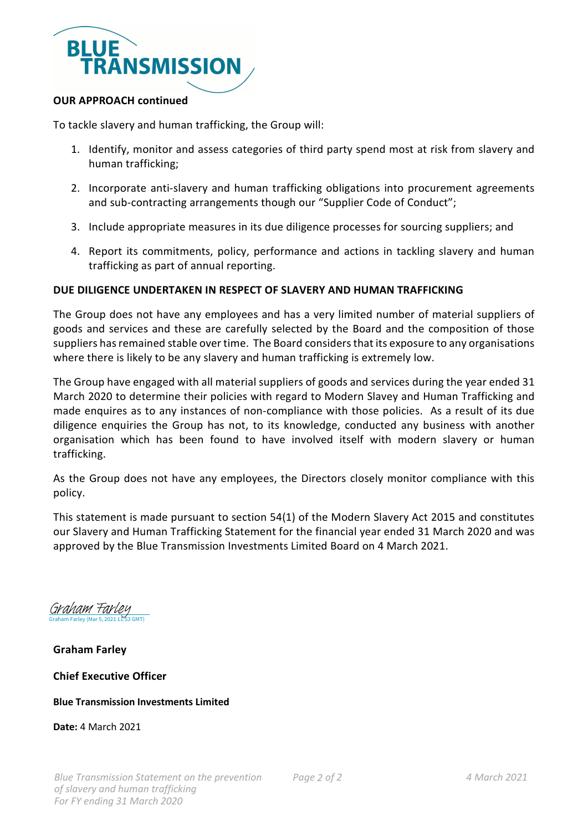

#### **OUR APPROACH continued**

To tackle slavery and human trafficking, the Group will:

- 1. Identify, monitor and assess categories of third party spend most at risk from slavery and human trafficking;
- 2. Incorporate anti-slavery and human trafficking obligations into procurement agreements and sub-contracting arrangements though our "Supplier Code of Conduct";
- 3. Include appropriate measures in its due diligence processes for sourcing suppliers; and
- 4. Report its commitments, policy, performance and actions in tackling slavery and human trafficking as part of annual reporting.

#### **DUE DILIGENCE UNDERTAKEN IN RESPECT OF SLAVERY AND HUMAN TRAFFICKING**

The Group does not have any employees and has a very limited number of material suppliers of goods and services and these are carefully selected by the Board and the composition of those suppliers has remained stable over time. The Board considers that its exposure to any organisations where there is likely to be any slavery and human trafficking is extremely low.

The Group have engaged with all material suppliers of goods and services during the year ended 31 March 2020 to determine their policies with regard to Modern Slavey and Human Trafficking and made enquires as to any instances of non-compliance with those policies. As a result of its due diligence enquiries the Group has not, to its knowledge, conducted any business with another organisation which has been found to have involved itself with modern slavery or human trafficking.

As the Group does not have any employees, the Directors closely monitor compliance with this policy.

This statement is made pursuant to section 54(1) of the Modern Slavery Act 2015 and constitutes our Slavery and Human Trafficking Statement for the financial year ended 31 March 2020 and was approved by the Blue Transmission Investments Limited Board on 4 March 2021.

Graham Farley (Mar 5, 2021 11:53 GMT) [Graham Farley](https://eu1.documents.adobe.com/verifier?tx=CBJCHBCAABAADWAszGcRePDRuOKmegGzfqPDh6C16dd_)

#### **Graham Farley**

#### **Chief Executive Officer**

#### **Blue Transmission Investments Limited**

**Date:** 4 March 2021